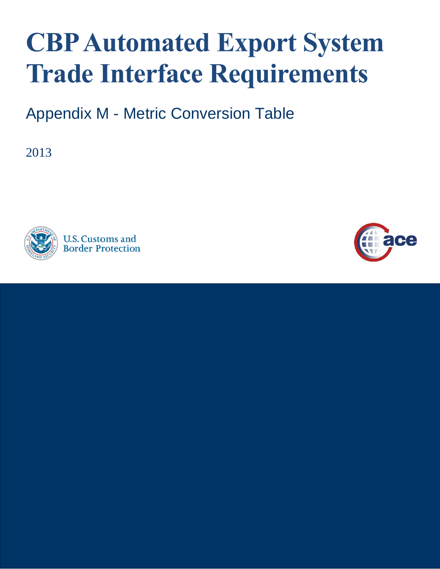## **CBP Automated Export System Trade Interface Requirements**

Appendix M - Metric Conversion Table

2013